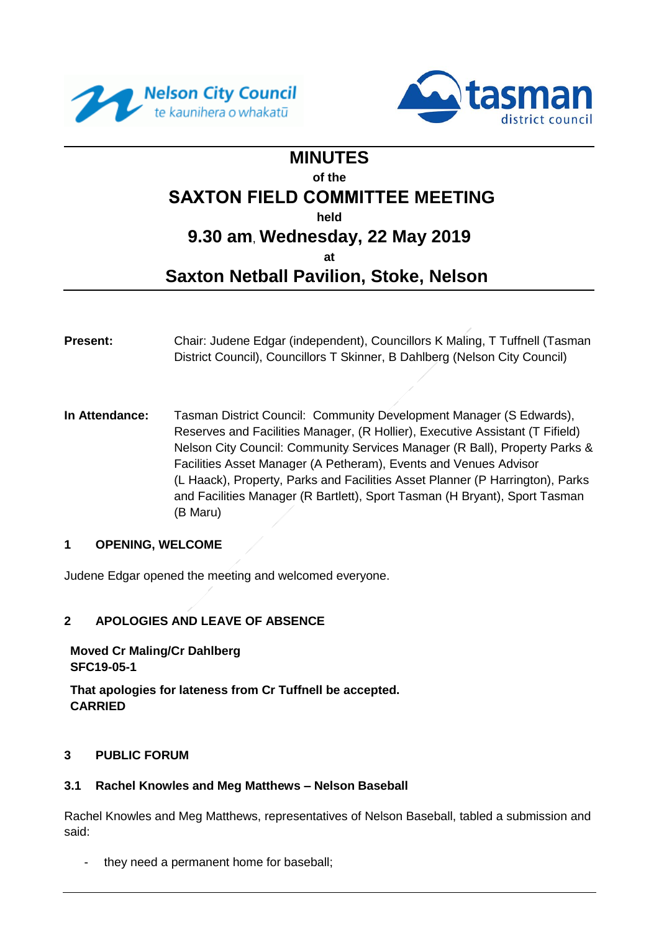



# **MINUTES of the SAXTON FIELD COMMITTEE MEETING held 9.30 am**, **Wednesday, 22 May 2019 at**

# **Saxton Netball Pavilion, Stoke, Nelson**

- **Present:** Chair: Judene Edgar (independent), Councillors K Maling, T Tuffnell (Tasman District Council), Councillors T Skinner, B Dahlberg (Nelson City Council)
- **In Attendance:** Tasman District Council: Community Development Manager (S Edwards), Reserves and Facilities Manager, (R Hollier), Executive Assistant (T Fifield) Nelson City Council: Community Services Manager (R Ball), Property Parks & Facilities Asset Manager (A Petheram), Events and Venues Advisor (L Haack), Property, Parks and Facilities Asset Planner (P Harrington), Parks and Facilities Manager (R Bartlett), Sport Tasman (H Bryant), Sport Tasman (B Maru)

# **1 OPENING, WELCOME**

Judene Edgar opened the meeting and welcomed everyone.

# **2 APOLOGIES AND LEAVE OF ABSENCE**

**Moved Cr Maling/Cr Dahlberg SFC19-05-1**

**That apologies for lateness from Cr Tuffnell be accepted. CARRIED**

#### **3 PUBLIC FORUM**

#### **3.1 Rachel Knowles and Meg Matthews – Nelson Baseball**

Rachel Knowles and Meg Matthews, representatives of Nelson Baseball, tabled a submission and said:

they need a permanent home for baseball;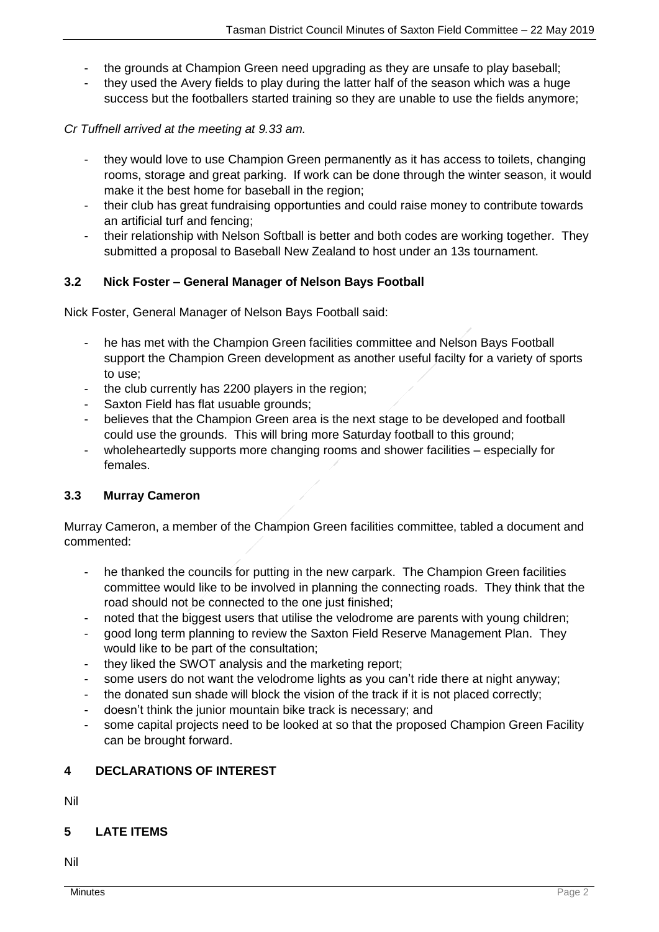- the grounds at Champion Green need upgrading as they are unsafe to play baseball;
- they used the Avery fields to play during the latter half of the season which was a huge success but the footballers started training so they are unable to use the fields anymore;

*Cr Tuffnell arrived at the meeting at 9.33 am.*

- they would love to use Champion Green permanently as it has access to toilets, changing rooms, storage and great parking. If work can be done through the winter season, it would make it the best home for baseball in the region:
- their club has great fundraising opportunties and could raise money to contribute towards an artificial turf and fencing;
- their relationship with Nelson Softball is better and both codes are working together. They submitted a proposal to Baseball New Zealand to host under an 13s tournament.

#### **3.2 Nick Foster – General Manager of Nelson Bays Football**

Nick Foster, General Manager of Nelson Bays Football said:

- he has met with the Champion Green facilities committee and Nelson Bays Football support the Champion Green development as another useful facilty for a variety of sports to use;
- the club currently has 2200 players in the region;
- Saxton Field has flat usuable grounds;
- believes that the Champion Green area is the next stage to be developed and football could use the grounds. This will bring more Saturday football to this ground;
- wholeheartedly supports more changing rooms and shower facilities especially for females.

#### **3.3 Murray Cameron**

Murray Cameron, a member of the Champion Green facilities committee, tabled a document and commented:

- he thanked the councils for putting in the new carpark. The Champion Green facilities committee would like to be involved in planning the connecting roads. They think that the road should not be connected to the one just finished;
- noted that the biggest users that utilise the velodrome are parents with young children;
- good long term planning to review the Saxton Field Reserve Management Plan. They would like to be part of the consultation;
- they liked the SWOT analysis and the marketing report;
- some users do not want the velodrome lights as you can't ride there at night anyway;
- the donated sun shade will block the vision of the track if it is not placed correctly;
- doesn't think the junior mountain bike track is necessary; and
- some capital projects need to be looked at so that the proposed Champion Green Facility can be brought forward.

# **4 DECLARATIONS OF INTEREST**

Nil

# **5 LATE ITEMS**

Nil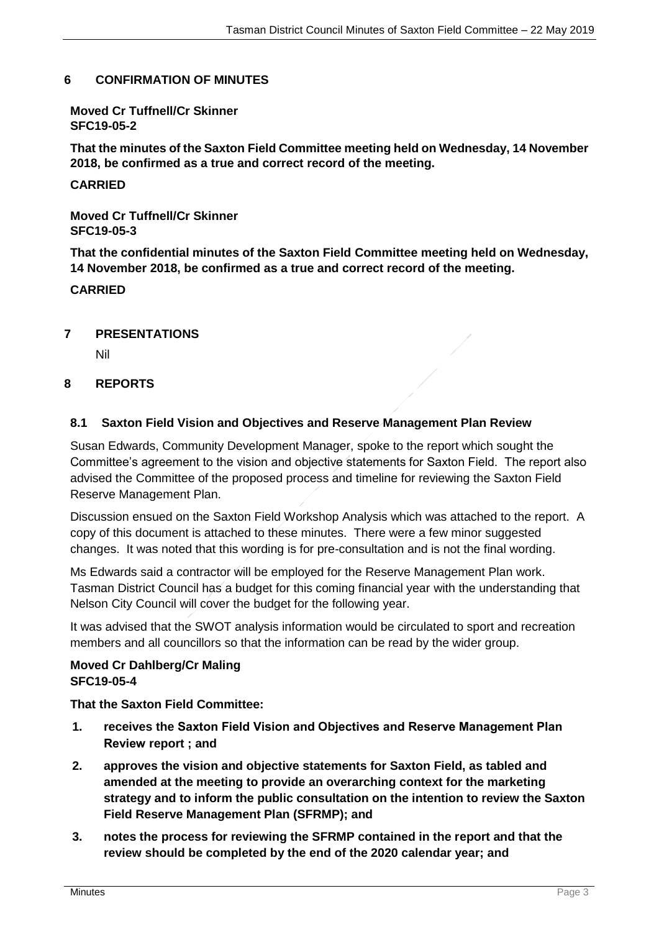#### **6 CONFIRMATION OF MINUTES**

**Moved Cr Tuffnell/Cr Skinner SFC19-05-2**

**That the minutes of the Saxton Field Committee meeting held on Wednesday, 14 November 2018, be confirmed as a true and correct record of the meeting.**

**CARRIED**

**Moved Cr Tuffnell/Cr Skinner SFC19-05-3**

**That the confidential minutes of the Saxton Field Committee meeting held on Wednesday, 14 November 2018, be confirmed as a true and correct record of the meeting.**

### **CARRIED**

### **7 PRESENTATIONS**

Nil

### **8 REPORTS**

### **8.1 Saxton Field Vision and Objectives and Reserve Management Plan Review**

Susan Edwards, Community Development Manager, spoke to the report which sought the Committee's agreement to the vision and objective statements for Saxton Field. The report also advised the Committee of the proposed process and timeline for reviewing the Saxton Field Reserve Management Plan.

Discussion ensued on the Saxton Field Workshop Analysis which was attached to the report. A copy of this document is attached to these minutes. There were a few minor suggested changes. It was noted that this wording is for pre-consultation and is not the final wording.

Ms Edwards said a contractor will be employed for the Reserve Management Plan work. Tasman District Council has a budget for this coming financial year with the understanding that Nelson City Council will cover the budget for the following year.

It was advised that the SWOT analysis information would be circulated to sport and recreation members and all councillors so that the information can be read by the wider group.

#### **Moved Cr Dahlberg/Cr Maling SFC19-05-4**

**That the Saxton Field Committee:**

- **1. receives the Saxton Field Vision and Objectives and Reserve Management Plan Review report ; and**
- **2. approves the vision and objective statements for Saxton Field, as tabled and amended at the meeting to provide an overarching context for the marketing strategy and to inform the public consultation on the intention to review the Saxton Field Reserve Management Plan (SFRMP); and**
- **3. notes the process for reviewing the SFRMP contained in the report and that the review should be completed by the end of the 2020 calendar year; and**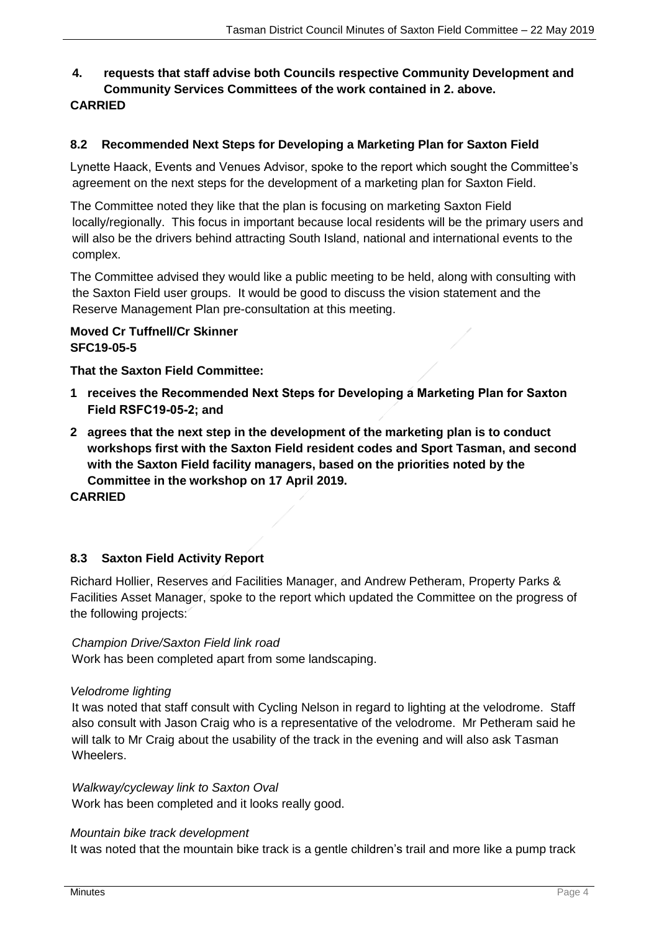# **4. requests that staff advise both Councils respective Community Development and Community Services Committees of the work contained in 2. above. CARRIED**

# **8.2 Recommended Next Steps for Developing a Marketing Plan for Saxton Field**

Lynette Haack, Events and Venues Advisor, spoke to the report which sought the Committee's agreement on the next steps for the development of a marketing plan for Saxton Field.

The Committee noted they like that the plan is focusing on marketing Saxton Field locally/regionally. This focus in important because local residents will be the primary users and will also be the drivers behind attracting South Island, national and international events to the complex.

The Committee advised they would like a public meeting to be held, along with consulting with the Saxton Field user groups. It would be good to discuss the vision statement and the Reserve Management Plan pre-consultation at this meeting.

#### **Moved Cr Tuffnell/Cr Skinner SFC19-05-5**

**That the Saxton Field Committee:**

- **1 receives the Recommended Next Steps for Developing a Marketing Plan for Saxton Field RSFC19-05-2; and**
- **2 agrees that the next step in the development of the marketing plan is to conduct workshops first with the Saxton Field resident codes and Sport Tasman, and second with the Saxton Field facility managers, based on the priorities noted by the Committee in the workshop on 17 April 2019.**

**CARRIED**

# **8.3 Saxton Field Activity Report**

Richard Hollier, Reserves and Facilities Manager, and Andrew Petheram, Property Parks & Facilities Asset Manager, spoke to the report which updated the Committee on the progress of the following projects:

*Champion Drive/Saxton Field link road*

Work has been completed apart from some landscaping.

#### *Velodrome lighting*

It was noted that staff consult with Cycling Nelson in regard to lighting at the velodrome. Staff also consult with Jason Craig who is a representative of the velodrome. Mr Petheram said he will talk to Mr Craig about the usability of the track in the evening and will also ask Tasman Wheelers.

#### *Walkway/cycleway link to Saxton Oval*

Work has been completed and it looks really good.

#### *Mountain bike track development*

It was noted that the mountain bike track is a gentle children's trail and more like a pump track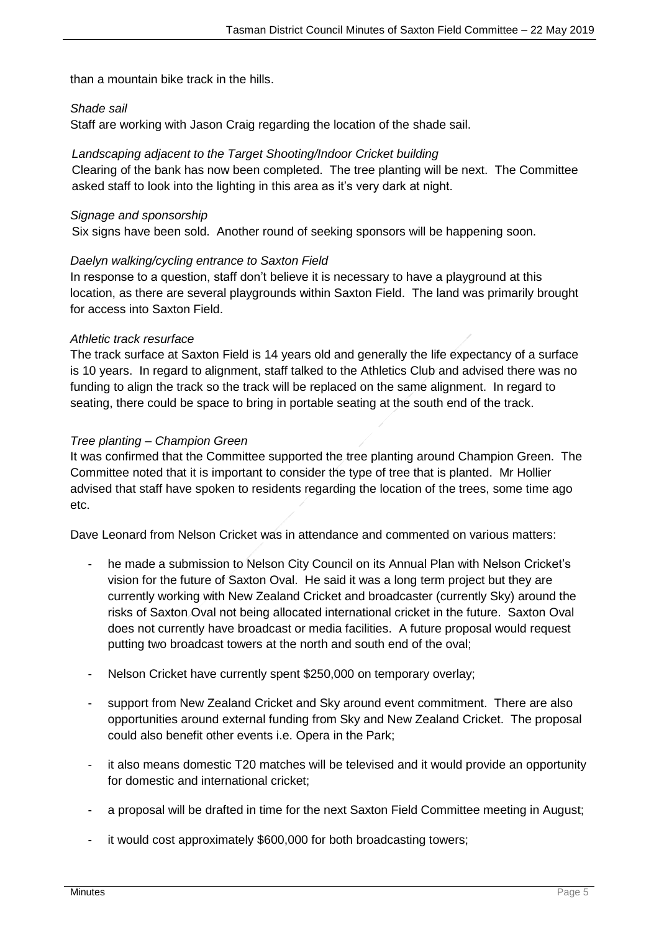than a mountain bike track in the hills.

#### *Shade sail*

Staff are working with Jason Craig regarding the location of the shade sail.

#### *Landscaping adjacent to the Target Shooting/Indoor Cricket building*

Clearing of the bank has now been completed. The tree planting will be next. The Committee asked staff to look into the lighting in this area as it's very dark at night.

#### *Signage and sponsorship*

Six signs have been sold. Another round of seeking sponsors will be happening soon.

#### *Daelyn walking/cycling entrance to Saxton Field*

In response to a question, staff don't believe it is necessary to have a playground at this location, as there are several playgrounds within Saxton Field. The land was primarily brought for access into Saxton Field.

#### *Athletic track resurface*

The track surface at Saxton Field is 14 years old and generally the life expectancy of a surface is 10 years. In regard to alignment, staff talked to the Athletics Club and advised there was no funding to align the track so the track will be replaced on the same alignment. In regard to seating, there could be space to bring in portable seating at the south end of the track.

#### *Tree planting – Champion Green*

It was confirmed that the Committee supported the tree planting around Champion Green. The Committee noted that it is important to consider the type of tree that is planted. Mr Hollier advised that staff have spoken to residents regarding the location of the trees, some time ago etc.

Dave Leonard from Nelson Cricket was in attendance and commented on various matters:

- he made a submission to Nelson City Council on its Annual Plan with Nelson Cricket's vision for the future of Saxton Oval. He said it was a long term project but they are currently working with New Zealand Cricket and broadcaster (currently Sky) around the risks of Saxton Oval not being allocated international cricket in the future. Saxton Oval does not currently have broadcast or media facilities. A future proposal would request putting two broadcast towers at the north and south end of the oval;
- Nelson Cricket have currently spent \$250,000 on temporary overlay;
- support from New Zealand Cricket and Sky around event commitment. There are also opportunities around external funding from Sky and New Zealand Cricket. The proposal could also benefit other events i.e. Opera in the Park;
- it also means domestic T20 matches will be televised and it would provide an opportunity for domestic and international cricket;
- a proposal will be drafted in time for the next Saxton Field Committee meeting in August;
- it would cost approximately \$600,000 for both broadcasting towers;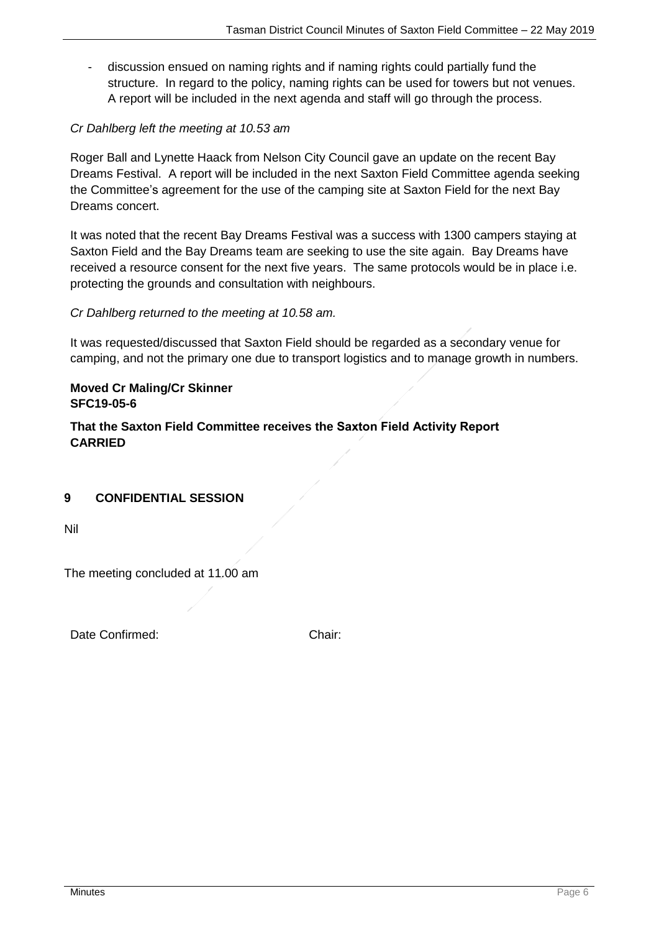- discussion ensued on naming rights and if naming rights could partially fund the structure. In regard to the policy, naming rights can be used for towers but not venues. A report will be included in the next agenda and staff will go through the process.

# *Cr Dahlberg left the meeting at 10.53 am*

Roger Ball and Lynette Haack from Nelson City Council gave an update on the recent Bay Dreams Festival. A report will be included in the next Saxton Field Committee agenda seeking the Committee's agreement for the use of the camping site at Saxton Field for the next Bay Dreams concert.

It was noted that the recent Bay Dreams Festival was a success with 1300 campers staying at Saxton Field and the Bay Dreams team are seeking to use the site again. Bay Dreams have received a resource consent for the next five years. The same protocols would be in place i.e. protecting the grounds and consultation with neighbours.

### *Cr Dahlberg returned to the meeting at 10.58 am.*

It was requested/discussed that Saxton Field should be regarded as a secondary venue for camping, and not the primary one due to transport logistics and to manage growth in numbers.

# **Moved Cr Maling/Cr Skinner SFC19-05-6**

**That the Saxton Field Committee receives the Saxton Field Activity Report CARRIED**

# **9 CONFIDENTIAL SESSION**

Nil

The meeting concluded at 11.00 am

Date Confirmed: Chair: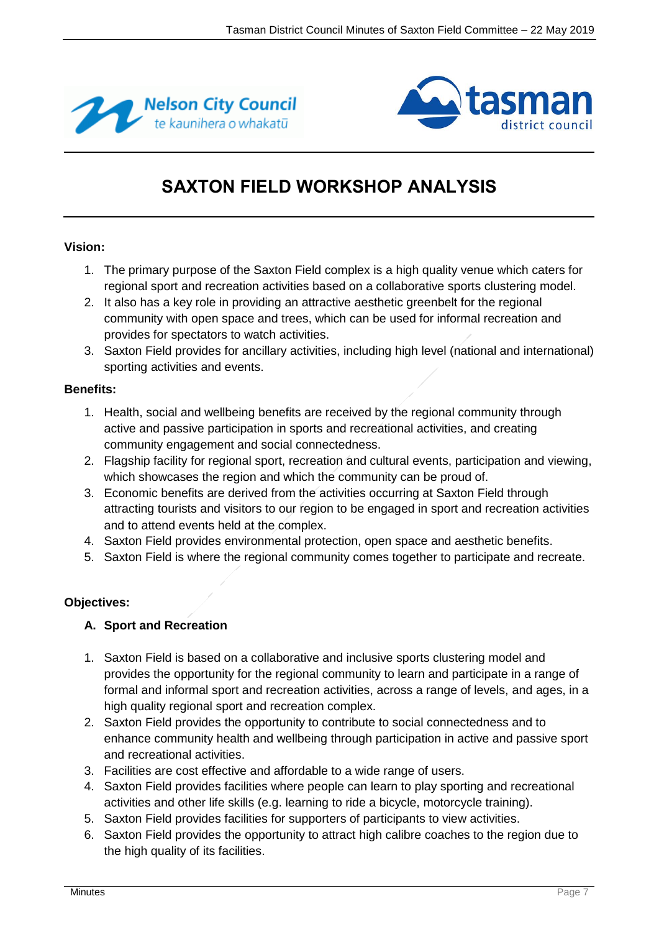



# **SAXTON FIELD WORKSHOP ANALYSIS**

### **Vision:**

- 1. The primary purpose of the Saxton Field complex is a high quality venue which caters for regional sport and recreation activities based on a collaborative sports clustering model.
- 2. It also has a key role in providing an attractive aesthetic greenbelt for the regional community with open space and trees, which can be used for informal recreation and provides for spectators to watch activities.
- 3. Saxton Field provides for ancillary activities, including high level (national and international) sporting activities and events.

#### **Benefits:**

- 1. Health, social and wellbeing benefits are received by the regional community through active and passive participation in sports and recreational activities, and creating community engagement and social connectedness.
- 2. Flagship facility for regional sport, recreation and cultural events, participation and viewing, which showcases the region and which the community can be proud of.
- 3. Economic benefits are derived from the activities occurring at Saxton Field through attracting tourists and visitors to our region to be engaged in sport and recreation activities and to attend events held at the complex.
- 4. Saxton Field provides environmental protection, open space and aesthetic benefits.
- 5. Saxton Field is where the regional community comes together to participate and recreate.

# **Objectives:**

# **A. Sport and Recreation**

- 1. Saxton Field is based on a collaborative and inclusive sports clustering model and provides the opportunity for the regional community to learn and participate in a range of formal and informal sport and recreation activities, across a range of levels, and ages, in a high quality regional sport and recreation complex.
- 2. Saxton Field provides the opportunity to contribute to social connectedness and to enhance community health and wellbeing through participation in active and passive sport and recreational activities.
- 3. Facilities are cost effective and affordable to a wide range of users.
- 4. Saxton Field provides facilities where people can learn to play sporting and recreational activities and other life skills (e.g. learning to ride a bicycle, motorcycle training).
- 5. Saxton Field provides facilities for supporters of participants to view activities.
- 6. Saxton Field provides the opportunity to attract high calibre coaches to the region due to the high quality of its facilities.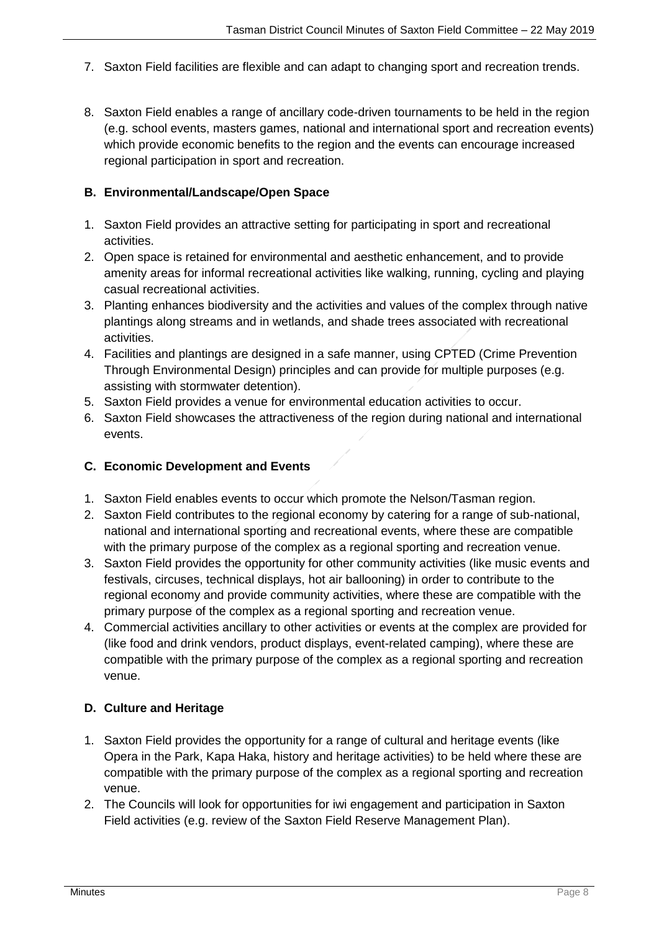- 7. Saxton Field facilities are flexible and can adapt to changing sport and recreation trends.
- 8. Saxton Field enables a range of ancillary code-driven tournaments to be held in the region (e.g. school events, masters games, national and international sport and recreation events) which provide economic benefits to the region and the events can encourage increased regional participation in sport and recreation.

# **B. Environmental/Landscape/Open Space**

- 1. Saxton Field provides an attractive setting for participating in sport and recreational activities.
- 2. Open space is retained for environmental and aesthetic enhancement, and to provide amenity areas for informal recreational activities like walking, running, cycling and playing casual recreational activities.
- 3. Planting enhances biodiversity and the activities and values of the complex through native plantings along streams and in wetlands, and shade trees associated with recreational activities.
- 4. Facilities and plantings are designed in a safe manner, using CPTED (Crime Prevention Through Environmental Design) principles and can provide for multiple purposes (e.g. assisting with stormwater detention).
- 5. Saxton Field provides a venue for environmental education activities to occur.
- 6. Saxton Field showcases the attractiveness of the region during national and international events.

#### **C. Economic Development and Events**

- 1. Saxton Field enables events to occur which promote the Nelson/Tasman region.
- 2. Saxton Field contributes to the regional economy by catering for a range of sub-national, national and international sporting and recreational events, where these are compatible with the primary purpose of the complex as a regional sporting and recreation venue.
- 3. Saxton Field provides the opportunity for other community activities (like music events and festivals, circuses, technical displays, hot air ballooning) in order to contribute to the regional economy and provide community activities, where these are compatible with the primary purpose of the complex as a regional sporting and recreation venue.
- 4. Commercial activities ancillary to other activities or events at the complex are provided for (like food and drink vendors, product displays, event-related camping), where these are compatible with the primary purpose of the complex as a regional sporting and recreation venue.

# **D. Culture and Heritage**

- 1. Saxton Field provides the opportunity for a range of cultural and heritage events (like Opera in the Park, Kapa Haka, history and heritage activities) to be held where these are compatible with the primary purpose of the complex as a regional sporting and recreation venue.
- 2. The Councils will look for opportunities for iwi engagement and participation in Saxton Field activities (e.g. review of the Saxton Field Reserve Management Plan).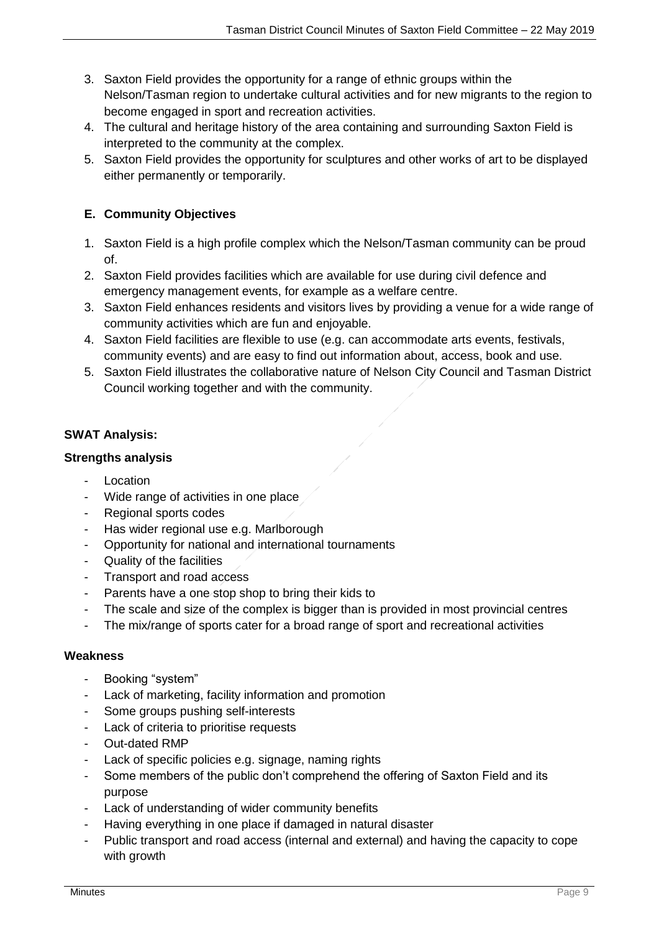- 3. Saxton Field provides the opportunity for a range of ethnic groups within the Nelson/Tasman region to undertake cultural activities and for new migrants to the region to become engaged in sport and recreation activities.
- 4. The cultural and heritage history of the area containing and surrounding Saxton Field is interpreted to the community at the complex.
- 5. Saxton Field provides the opportunity for sculptures and other works of art to be displayed either permanently or temporarily.

# **E. Community Objectives**

- 1. Saxton Field is a high profile complex which the Nelson/Tasman community can be proud of.
- 2. Saxton Field provides facilities which are available for use during civil defence and emergency management events, for example as a welfare centre.
- 3. Saxton Field enhances residents and visitors lives by providing a venue for a wide range of community activities which are fun and enjoyable.
- 4. Saxton Field facilities are flexible to use (e.g. can accommodate arts events, festivals, community events) and are easy to find out information about, access, book and use.
- 5. Saxton Field illustrates the collaborative nature of Nelson City Council and Tasman District Council working together and with the community.

# **SWAT Analysis:**

# **Strengths analysis**

- **Location**
- Wide range of activities in one place
- Regional sports codes
- Has wider regional use e.g. Marlborough
- Opportunity for national and international tournaments
- Quality of the facilities
- Transport and road access
- Parents have a one stop shop to bring their kids to
- The scale and size of the complex is bigger than is provided in most provincial centres
- The mix/range of sports cater for a broad range of sport and recreational activities

# **Weakness**

- Booking "system"
- Lack of marketing, facility information and promotion
- Some groups pushing self-interests
- Lack of criteria to prioritise requests
- Out-dated RMP
- Lack of specific policies e.g. signage, naming rights
- Some members of the public don't comprehend the offering of Saxton Field and its purpose
- Lack of understanding of wider community benefits
- Having everything in one place if damaged in natural disaster
- Public transport and road access (internal and external) and having the capacity to cope with growth